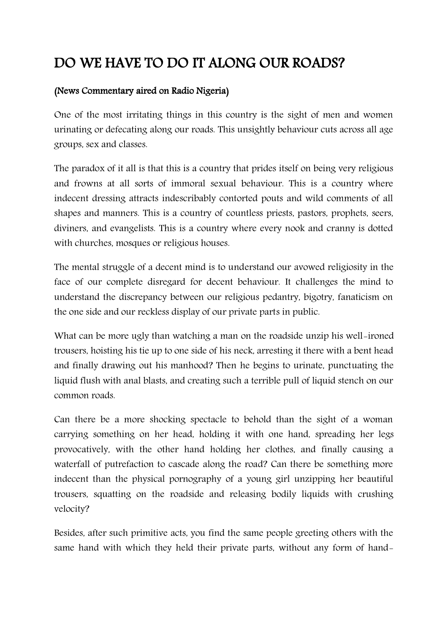## DO WE HAVE TO DO IT ALONG OUR ROADS?

## (News Commentary aired on Radio Nigeria)

One of the most irritating things in this country is the sight of men and women urinating or defecating along our roads. This unsightly behaviour cuts across all age groups, sex and classes.

The paradox of it all is that this is a country that prides itself on being very religious and frowns at all sorts of immoral sexual behaviour. This is a country where indecent dressing attracts indescribably contorted pouts and wild comments of all shapes and manners. This is a country of countless priests, pastors, prophets, seers, diviners, and evangelists. This is a country where every nook and cranny is dotted with churches, mosques or religious houses.

The mental struggle of a decent mind is to understand our avowed religiosity in the face of our complete disregard for decent behaviour. It challenges the mind to understand the discrepancy between our religious pedantry, bigotry, fanaticism on the one side and our reckless display of our private parts in public.

What can be more ugly than watching a man on the roadside unzip his well-ironed trousers, hoisting his tie up to one side of his neck, arresting it there with a bent head and finally drawing out his manhood? Then he begins to urinate, punctuating the liquid flush with anal blasts, and creating such a terrible pull of liquid stench on our common roads.

Can there be a more shocking spectacle to behold than the sight of a woman carrying something on her head, holding it with one hand, spreading her legs provocatively, with the other hand holding her clothes, and finally causing a waterfall of putrefaction to cascade along the road? Can there be something more indecent than the physical pornography of a young girl unzipping her beautiful trousers, squatting on the roadside and releasing bodily liquids with crushing velocity?

Besides, after such primitive acts, you find the same people greeting others with the same hand with which they held their private parts, without any form of hand